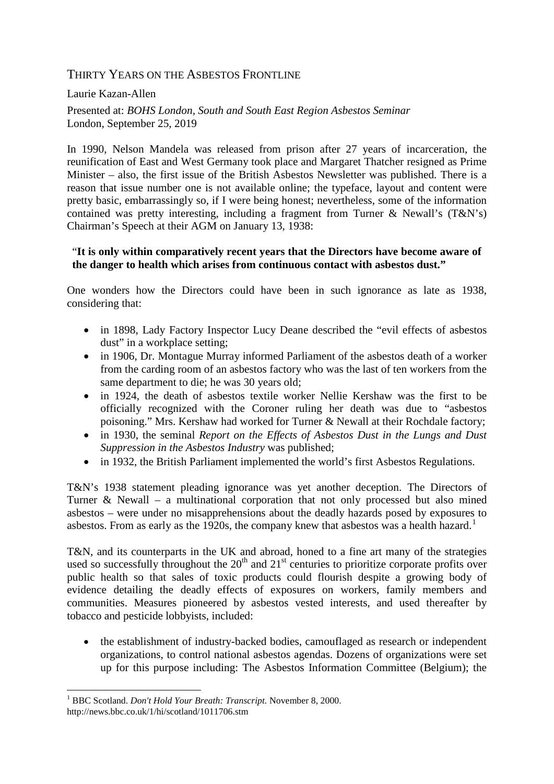# THIRTY YEARS ON THE ASBESTOS FRONTLINE

Laurie Kazan-Allen

Presented at: *BOHS London, South and South East Region Asbestos Seminar* London, September 25, 2019

In 1990, Nelson Mandela was released from prison after 27 years of incarceration, the reunification of East and West Germany took place and Margaret Thatcher resigned as Prime Minister – also, the first issue of the British Asbestos Newsletter was published. There is a reason that issue number one is not available online; the typeface, layout and content were pretty basic, embarrassingly so, if I were being honest; nevertheless, some of the information contained was pretty interesting, including a fragment from Turner & Newall's (T&N's) Chairman's Speech at their AGM on January 13, 1938:

### "**It is only within comparatively recent years that the Directors have become aware of the danger to health which arises from continuous contact with asbestos dust."**

One wonders how the Directors could have been in such ignorance as late as 1938, considering that:

- in 1898, Lady Factory Inspector Lucy Deane described the "evil effects of asbestos" dust" in a workplace setting;
- in 1906, Dr. Montague Murray informed Parliament of the asbestos death of a worker from the carding room of an asbestos factory who was the last of ten workers from the same department to die; he was 30 years old;
- in 1924, the death of asbestos textile worker Nellie Kershaw was the first to be officially recognized with the Coroner ruling her death was due to "asbestos poisoning." Mrs. Kershaw had worked for Turner & Newall at their Rochdale factory;
- in 1930, the seminal *Report on the Effects of Asbestos Dust in the Lungs and Dust Suppression in the Asbestos Industry* was published;
- in 1932, the British Parliament implemented the world's first Asbestos Regulations.

T&N's 1938 statement pleading ignorance was yet another deception. The Directors of Turner & Newall – a multinational corporation that not only processed but also mined asbestos – were under no misapprehensions about the deadly hazards posed by exposures to asbestos. From as early as the [1](#page-0-0)920s, the company knew that asbestos was a health hazard.<sup>1</sup>

T&N, and its counterparts in the UK and abroad, honed to a fine art many of the strategies used so successfully throughout the  $20<sup>th</sup>$  and  $21<sup>st</sup>$  centuries to prioritize corporate profits over public health so that sales of toxic products could flourish despite a growing body of evidence detailing the deadly effects of exposures on workers, family members and communities. Measures pioneered by asbestos vested interests, and used thereafter by tobacco and pesticide lobbyists, included:

• the establishment of industry-backed bodies, camouflaged as research or independent organizations, to control national asbestos agendas. Dozens of organizations were set up for this purpose including: The Asbestos Information Committee (Belgium); the

<span id="page-0-0"></span> <sup>1</sup> BBC Scotland. *Don't Hold Your Breath: Transcript.* November 8, 2000. <http://news.bbc.co.uk/1/hi/scotland/1011706.stm>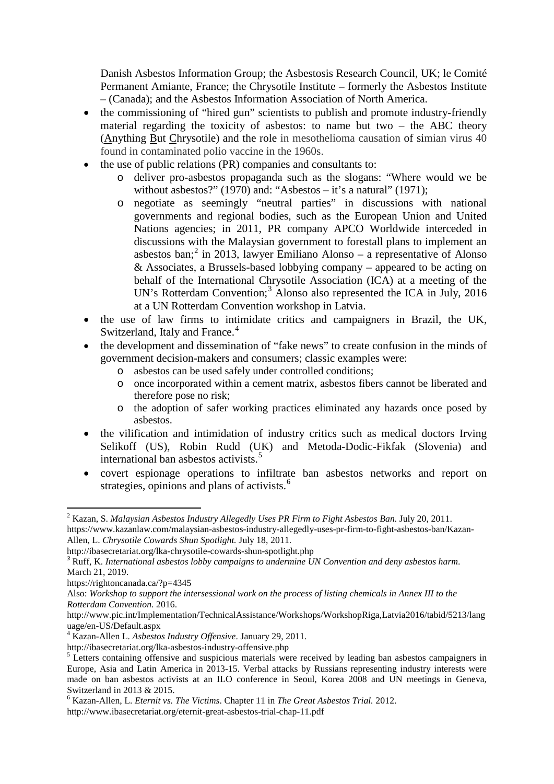Danish Asbestos Information Group; the Asbestosis Research Council, UK; le Comité Permanent Amiante, France; the Chrysotile Institute – formerly the Asbestos Institute – (Canada); and the Asbestos Information Association of North America.

- the commissioning of "hired gun" scientists to publish and promote industry-friendly material regarding the toxicity of asbestos: to name but two  $-$  the ABC theory (Anything But Chrysotile) and the role in mesothelioma causation of simian virus 40 found in contaminated polio vaccine in the 1960s.
- the use of public relations (PR) companies and consultants to:
	- o deliver pro-asbestos propaganda such as the slogans: "Where would we be without asbestos?" (1970) and: "Asbestos – it's a natural" (1971):
	- o negotiate as seemingly "neutral parties" in discussions with national governments and regional bodies, such as the European Union and United Nations agencies; in 2011, PR company APCO Worldwide interceded in discussions with the Malaysian government to forestall plans to implement an asbestos ban; [2](#page-1-0) in 2013, lawyer Emiliano Alonso – a representative of Alonso & Associates, a Brussels-based lobbying company – appeared to be acting on behalf of the International Chrysotile Association (ICA) at a meeting of the UN's Rotterdam Convention;<sup>[3](#page-1-1)</sup> Alonso also represented the ICA in July, 2016 at a UN Rotterdam Convention workshop in Latvia.
- the use of law firms to intimidate critics and campaigners in Brazil, the UK, Switzerland, Italy and France.<sup>[4](#page-1-2)</sup>
- the development and dissemination of "fake news" to create confusion in the minds of government decision-makers and consumers; classic examples were:
	- o asbestos can be used safely under controlled conditions;
	- o once incorporated within a cement matrix, asbestos fibers cannot be liberated and therefore pose no risk;
	- o the adoption of safer working practices eliminated any hazards once posed by asbestos.
- the vilification and intimidation of industry critics such as medical doctors Irving Selikoff (US), Robin Rudd (UK) and Metoda-Dodic-Fikfak (Slovenia) and international ban asbestos activists. [5](#page-1-3)
- covert espionage operations to infiltrate ban asbestos networks and report on strategies, opinions and plans of activists. [6](#page-1-4)

<span id="page-1-0"></span><sup>&</sup>lt;sup>2</sup> Kazan, S. *Malaysian Asbestos Industry Allegedly Uses PR Firm to Fight Asbestos Ban. July 20, 2011.* 

[https://www.kazanlaw.com/malaysian-asbestos-industry-allegedly-uses-pr-firm-to-fight-asbestos-ban/K](https://www.kazanlaw.com/malaysian-asbestos-industry-allegedly-uses-pr-firm-to-fight-asbestos-ban/)azan-Allen, L. *Chrysotile Cowards Shun Spotlight.* July 18, 2011.

<http://ibasecretariat.org/lka-chrysotile-cowards-shun-spotlight.php>

<span id="page-1-1"></span>*<sup>3</sup>* Ruff, K. *[International](https://rightoncanada.ca/?p=4345) asbestos lobby campaigns to undermine UN Convention and deny asbestos harm*. March 21, 2019.

<https://rightoncanada.ca/?p=4345>

Also: *Workshop to support the intersessional work on the process of listing chemicals in Annex III to the Rotterdam Convention.* 2016.

[http://www.pic.int/Implementation/TechnicalAssistance/Workshops/WorkshopRiga,Latvia2016/tabid/5213/lang](http://www.pic.int/Implementation/TechnicalAssistance/Workshops/WorkshopRiga,Latvia2016/tabid/5213/language/en-US/Default.aspx) [uage/en-US/Default.aspx](http://www.pic.int/Implementation/TechnicalAssistance/Workshops/WorkshopRiga,Latvia2016/tabid/5213/language/en-US/Default.aspx)<br><sup>4</sup> Kazan-Allen L. *Asbestos Industry Offensive*. January 29, 2011.<br>http://ibasecretariat.org/lka-asbestos-industry-offensive.php

<span id="page-1-2"></span>

<span id="page-1-3"></span> $\frac{1}{2}$  Letters containing offensive and suspicious materials were received by leading ban asbestos campaigners in Europe, Asia and Latin America in 2013-15. Verbal attacks by Russians representing industry interests were made on ban asbestos activists at an ILO conference in Seoul, Korea 2008 and UN meetings in Geneva, Switzerland in 2013 & 2015. 6 Kazan-Allen, L. *Eternit vs. The Victims*. Chapter 11 in *The Great Asbestos Trial.* 2012.

<span id="page-1-4"></span>http://www.ibasecretariat.org/eternit-great-asbestos-trial-chap-11.pdf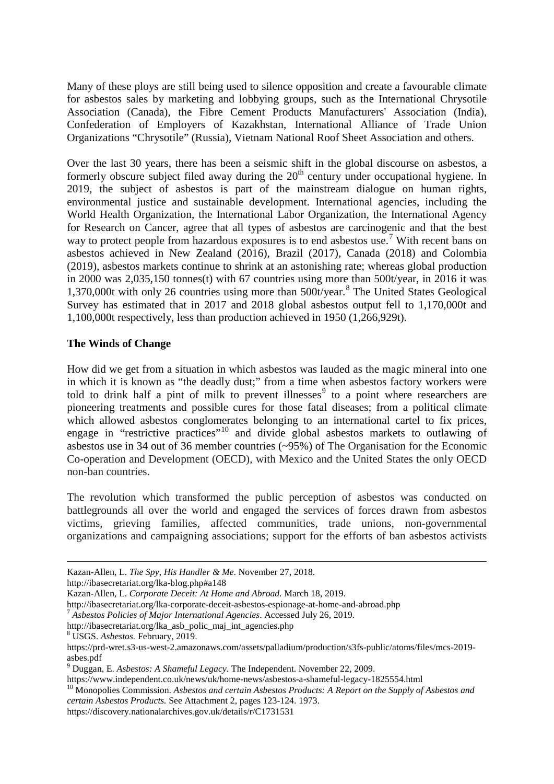Many of these ploys are still being used to silence opposition and create a favourable climate for asbestos sales by marketing and lobbying groups, such as the International Chrysotile Association (Canada), the Fibre Cement Products Manufacturers' Association (India), Confederation of Employers of Kazakhstan, International Alliance of Trade Union Organizations "Chrysotile" (Russia), Vietnam National Roof Sheet Association and others.

Over the last 30 years, there has been a seismic shift in the global discourse on asbestos, a formerly obscure subject filed away during the  $20<sup>th</sup>$  century under occupational hygiene. In 2019, the subject of asbestos is part of the mainstream dialogue on human rights, environmental justice and sustainable development. International agencies, including the World Health Organization, the International Labor Organization, the International Agency for Research on Cancer, agree that all types of asbestos are carcinogenic and that the best way to protect people from hazardous exposures is to end asbestos use.<sup>[7](#page-2-0)</sup> With recent bans on asbestos achieved in New Zealand (2016), Brazil (2017), Canada (2018) and Colombia (2019), asbestos markets continue to shrink at an astonishing rate; whereas global production in 2000 was 2,035,150 tonnes(t) with 67 countries using more than 500t/year, in 2016 it was 1,370,000t with only 26 countries using more than  $500t/year$ <sup>[8](#page-2-1)</sup>. The United States Geological Survey has estimated that in 2017 and 2018 global asbestos output fell to 1,170,000t and 1,100,000t respectively, less than production achieved in 1950 (1,266,929t).

### **The Winds of Change**

How did we get from a situation in which asbestos was lauded as the magic mineral into one in which it is known as "the deadly dust;" from a time when asbestos factory workers were told to drink half a pint of milk to prevent illnesses<sup>[9](#page-2-2)</sup> to a point where researchers are pioneering treatments and possible cures for those fatal diseases; from a political climate which allowed asbestos conglomerates belonging to an international cartel to fix prices, engage in "restrictive practices"<sup>[10](#page-2-3)</sup> and divide global asbestos markets to outlawing of asbestos use in 34 out of 36 member countries (~95%) of The Organisation for the Economic Co-operation and Development (OECD), with Mexico and the United States the only OECD non-ban countries.

The revolution which transformed the public perception of asbestos was conducted on battlegrounds all over the world and engaged the services of forces drawn from asbestos victims, grieving families, affected communities, trade unions, non-governmental organizations and campaigning associations; support for the efforts of ban asbestos activists

<http://ibasecretariat.org/lka-blog.php#a148>

Kazan-Allen, L. *Corporate Deceit: At Home and Abroad.* March 18, 2019.

[http://ibasecretariat.org/lka\\_asb\\_polic\\_maj\\_int\\_agencies.php](http://ibasecretariat.org/lka_asb_polic_maj_int_agencies.php)

<span id="page-2-1"></span><sup>8</sup> USGS. *Asbestos.* February, 2019.

<u>.</u>

<span id="page-2-3"></span><https://www.independent.co.uk/news/uk/home-news/asbestos-a-shameful-legacy-1825554.html> <sup>10</sup> Monopolies Commission. *Asbestos and certain Asbestos Products: A Report on the Supply of Asbestos and certain Asbestos Products.* See Attachment 2, pages 123-124. 1973.

Kazan-Allen, L. *The Spy, His Handler & Me*. November 27, 2018.

<span id="page-2-0"></span><sup>&</sup>lt;sup>7</sup> Asbestos Policies of Major International Agencies. Accessed July 26, 2019.

[https://prd-wret.s3-us-west-2.amazonaws.com/assets/palladium/production/s3fs-public/atoms/files/mcs-2019](https://prd-wret.s3-us-west-2.amazonaws.com/assets/palladium/production/s3fs-public/atoms/files/mcs-2019-asbes.pdf) [asbes.pdf](https://prd-wret.s3-us-west-2.amazonaws.com/assets/palladium/production/s3fs-public/atoms/files/mcs-2019-asbes.pdf)

<span id="page-2-2"></span><sup>9</sup> Duggan, E. *Asbestos: A Shameful Legacy.* The Independent. November 22, 2009.

<https://discovery.nationalarchives.gov.uk/details/r/C1731531>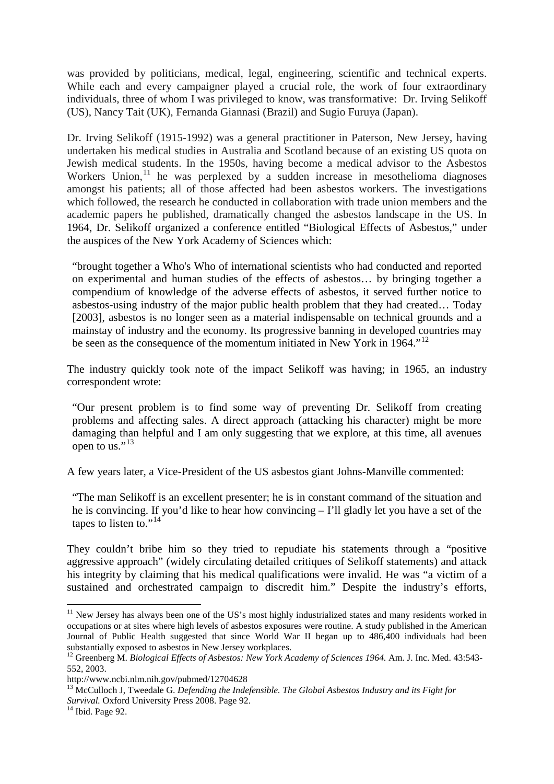was provided by politicians, medical, legal, engineering, scientific and technical experts. While each and every campaigner played a crucial role, the work of four extraordinary individuals, three of whom I was privileged to know, was transformative: Dr. Irving Selikoff (US), Nancy Tait (UK), Fernanda Giannasi (Brazil) and Sugio Furuya (Japan).

Dr. Irving Selikoff (1915-1992) was a general practitioner in Paterson, New Jersey, having undertaken his medical studies in Australia and Scotland because of an existing US quota on Jewish medical students. In the 1950s, having become a medical advisor to the Asbestos Workers Union, $11$  he was perplexed by a sudden increase in mesothelioma diagnoses amongst his patients; all of those affected had been asbestos workers. The investigations which followed, the research he conducted in collaboration with trade union members and the academic papers he published, dramatically changed the asbestos landscape in the US. In 1964, Dr. Selikoff organized a conference entitled "Biological Effects of Asbestos," under the auspices of the New York Academy of Sciences which:

"brought together a Who's Who of international scientists who had conducted and reported on experimental and human studies of the effects of asbestos… by bringing together a compendium of knowledge of the adverse effects of asbestos, it served further notice to asbestos-using industry of the major public health problem that they had created… Today [2003], asbestos is no longer seen as a material indispensable on technical grounds and a mainstay of industry and the economy. Its progressive banning in developed countries may be seen as the consequence of the momentum initiated in New York in 1964.<sup>"[12](#page-3-1)</sup>

The industry quickly took note of the impact Selikoff was having; in 1965, an industry correspondent wrote:

"Our present problem is to find some way of preventing Dr. Selikoff from creating problems and affecting sales. A direct approach (attacking his character) might be more damaging than helpful and I am only suggesting that we explore, at this time, all avenues open to us." $^{13}$  $^{13}$  $^{13}$ 

A few years later, a Vice-President of the US asbestos giant Johns-Manville commented:

"The man Selikoff is an excellent presenter; he is in constant command of the situation and he is convincing. If you'd like to hear how convincing – I'll gladly let you have a set of the tapes to listen to." $14$ "

They couldn't bribe him so they tried to repudiate his statements through a "positive aggressive approach" (widely circulating detailed critiques of Selikoff statements) and attack his integrity by claiming that his medical qualifications were invalid. He was "a victim of a sustained and orchestrated campaign to discredit him." Despite the industry's efforts,

<span id="page-3-0"></span><sup>&</sup>lt;sup>11</sup> New Jersey has always been one of the US's most highly industrialized states and many residents worked in occupations or at sites where high levels of asbestos exposures were routine. A study published in the American Journal of Public Health suggested that since World War II began up to 486,400 individuals had been substantially exposed to asbestos in New Jersey workplaces.<br><sup>12</sup> Greenberg M. *Biological Effects of Asbestos: New York Academy of Sciences 1964*. Am. J. Inc. Med. 43:543-

<span id="page-3-1"></span><sup>552, 2003.</sup> 

http://www.ncbi.nlm.nih.gov/pubmed/12704628

<span id="page-3-2"></span><sup>&</sup>lt;sup>13</sup> McCulloch J, Tweedale G. *Defending the Indefensible. The Global Asbestos Industry and its Fight for Survival.* Oxford University Press 2008. Page 92. <sup>14</sup> Ibid. Page 92.

<span id="page-3-3"></span>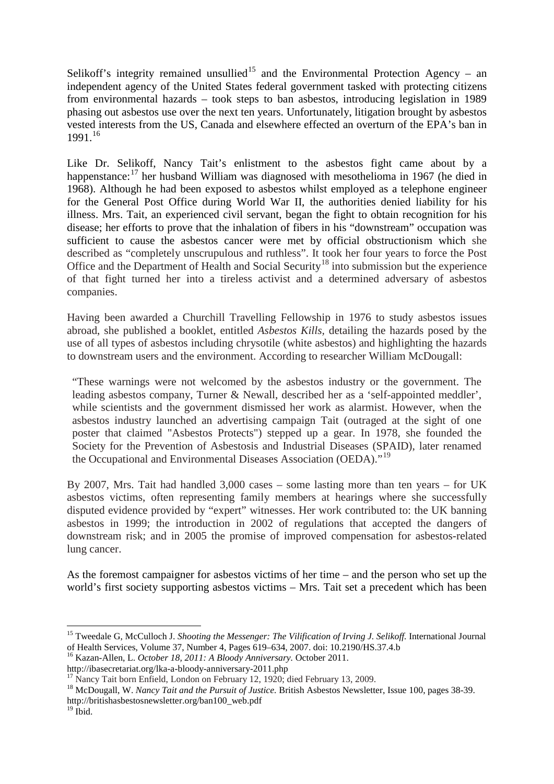Selikoff's integrity remained unsullied<sup>[15](#page-4-0)</sup> and the Environmental Protection Agency – an independent agency of the United States federal government tasked with protecting citizens from environmental hazards – took steps to ban asbestos, introducing legislation in 1989 phasing out asbestos use over the next ten years. Unfortunately, litigation brought by asbestos vested interests from the US, Canada and elsewhere effected an overturn of the EPA's ban in 1991.[16](#page-4-1)

Like Dr. Selikoff, Nancy Tait's enlistment to the asbestos fight came about by a happenstance:<sup>[17](#page-4-2)</sup> her husband William was diagnosed with mesothelioma in 1967 (he died in 1968). Although he had been exposed to asbestos whilst employed as a telephone engineer for the General Post Office during World War II, the authorities denied liability for his illness. Mrs. Tait, an experienced civil servant, began the fight to obtain recognition for his disease; her efforts to prove that the inhalation of fibers in his "downstream" occupation was sufficient to cause the asbestos cancer were met by official obstructionism which she described as "completely unscrupulous and ruthless". It took her four years to force the Post Office and the Department of Health and Social Security<sup>[18](#page-4-3)</sup> into submission but the experience of that fight turned her into a tireless activist and a determined adversary of asbestos companies.

Having been awarded a Churchill Travelling Fellowship in 1976 to study asbestos issues abroad, she published a booklet, entitled *Asbestos Kills,* detailing the hazards posed by the use of all types of asbestos including chrysotile (white asbestos) and highlighting the hazards to downstream users and the environment. According to researcher William McDougall:

"These warnings were not welcomed by the asbestos industry or the government. The leading asbestos company, Turner & Newall, described her as a 'self-appointed meddler', while scientists and the government dismissed her work as alarmist. However, when the asbestos industry launched an advertising campaign Tait (outraged at the sight of one poster that claimed "Asbestos Protects") stepped up a gear. In 1978, she founded the Society for the Prevention of Asbestosis and Industrial Diseases (SPAID), later renamed the Occupational and Environmental Diseases Association (OEDA)."[19](#page-4-4)

By 2007, Mrs. Tait had handled 3,000 cases – some lasting more than ten years – for UK asbestos victims, often representing family members at hearings where she successfully disputed evidence provided by "expert" witnesses. Her work contributed to: the UK banning asbestos in 1999; the introduction in 2002 of regulations that accepted the dangers of downstream risk; and in 2005 the promise of improved compensation for asbestos-related lung cancer.

As the foremost campaigner for asbestos victims of her time – and the person who set up the world's first society supporting asbestos victims – Mrs. Tait set a precedent which has been

<span id="page-4-1"></span><sup>16</sup> Kazan-Allen, L. *October 18, 2011: A Bloody Anniversary*. October 2011.<br>http://ibasecretariat.org/lka-a-bloody-anniversary-2011.php

<span id="page-4-3"></span><span id="page-4-2"></span><sup>17</sup> Nancy Tait born Enfield, London on February 12, 1920; died February 13, 2009.<br><sup>18</sup> McDougall, W. *Nancy Tait and the Pursuit of Justice*. British Asbestos Newsletter, Issue 100, pages 38-39. [http://britishasbestosnewsletter.org/ban100\\_web.pdf](http://britishasbestosnewsletter.org/ban100_web.pdf)

<span id="page-4-0"></span><sup>&</sup>lt;sup>15</sup> Tweedale G, McCulloch J. *Shooting the Messenger: The Vilification of Irving J. Selikoff.* International Journal of Health Services, Volume 37, Number 4, Pages 619–634, 2007. doi: 10.2190/HS.37.4.b

<span id="page-4-4"></span> $19$  Ibid.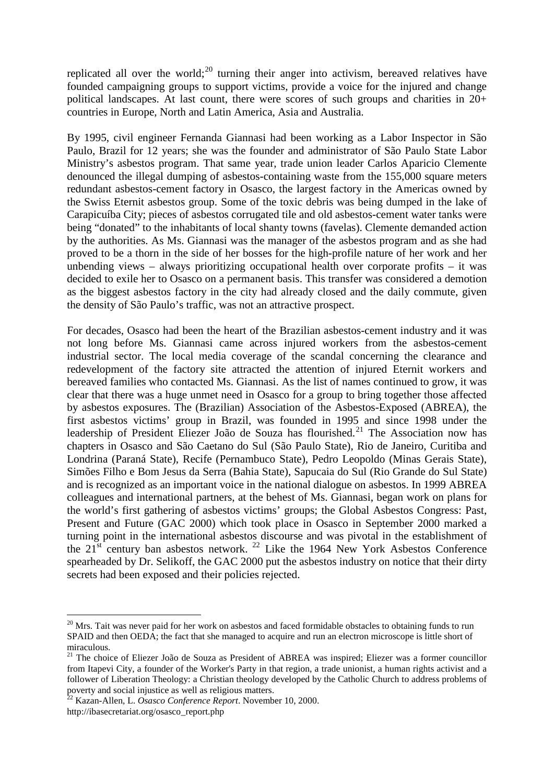replicated all over the world;<sup>[20](#page-5-0)</sup> turning their anger into activism, bereaved relatives have founded campaigning groups to support victims, provide a voice for the injured and change political landscapes. At last count, there were scores of such groups and charities in 20+ countries in Europe, North and Latin America, Asia and Australia.

By 1995, civil engineer Fernanda Giannasi had been working as a Labor Inspector in São Paulo, Brazil for 12 years; she was the founder and administrator of São Paulo State Labor Ministry's asbestos program. That same year, trade union leader Carlos Aparicio Clemente denounced the illegal dumping of asbestos-containing waste from the 155,000 square meters redundant asbestos-cement factory in Osasco, the largest factory in the Americas owned by the Swiss Eternit asbestos group. Some of the toxic debris was being dumped in the lake of Carapicuíba City; pieces of asbestos corrugated tile and old asbestos-cement water tanks were being "donated" to the inhabitants of local shanty towns (favelas). Clemente demanded action by the authorities. As Ms. Giannasi was the manager of the asbestos program and as she had proved to be a thorn in the side of her bosses for the high-profile nature of her work and her unbending views – always prioritizing occupational health over corporate profits – it was decided to exile her to Osasco on a permanent basis. This transfer was considered a demotion as the biggest asbestos factory in the city had already closed and the daily commute, given the density of São Paulo's traffic, was not an attractive prospect.

For decades, Osasco had been the heart of the Brazilian asbestos-cement industry and it was not long before Ms. Giannasi came across injured workers from the asbestos-cement industrial sector. The local media coverage of the scandal concerning the clearance and redevelopment of the factory site attracted the attention of injured Eternit workers and bereaved families who contacted Ms. Giannasi. As the list of names continued to grow, it was clear that there was a huge unmet need in Osasco for a group to bring together those affected by asbestos exposures. The (Brazilian) Association of the Asbestos-Exposed (ABREA), the first asbestos victims' group in Brazil, was founded in 1995 and since 1998 under the leadership of President Eliezer João de Souza has flourished.<sup>[21](#page-5-1)</sup> The Association now has chapters in Osasco and São Caetano do Sul (São Paulo State), Rio de Janeiro, Curitiba and Londrina (Paraná State), Recife (Pernambuco State), Pedro Leopoldo (Minas Gerais State), Simões Filho e Bom Jesus da Serra (Bahia State), Sapucaia do Sul (Rio Grande do Sul State) and is recognized as an important voice in the national dialogue on asbestos. In 1999 ABREA colleagues and international partners, at the behest of Ms. Giannasi, began work on plans for the world's first gathering of asbestos victims' groups; the Global Asbestos Congress: Past, Present and Future (GAC 2000) which took place in Osasco in September 2000 marked a turning point in the international asbestos discourse and was pivotal in the establishment of the  $21<sup>st</sup>$  century ban asbestos network. <sup>[22](#page-5-2)</sup> Like the 1964 New York Asbestos Conference spearheaded by Dr. Selikoff, the GAC 2000 put the asbestos industry on notice that their dirty secrets had been exposed and their policies rejected.

<span id="page-5-0"></span><sup>&</sup>lt;sup>20</sup> Mrs. Tait was never paid for her work on asbestos and faced formidable obstacles to obtaining funds to run SPAID and then OEDA; the fact that she managed to acquire and run an electron microscope is little short of miraculous.

<span id="page-5-1"></span><sup>&</sup>lt;sup>21</sup> The choice of Eliezer João de Souza as President of ABREA was inspired; Eliezer was a former councillor from Itapevi City, a founder of the Worker's Party in that region, a trade unionist, a human rights activist and a follower of Liberation Theology: a Christian theology developed by the Catholic Church to address problems of poverty and social injustice as well as religious matters.

<span id="page-5-2"></span><sup>22</sup> Kazan-Allen, L. *Osasco Conference Report*. November 10, 2000.

[http://ibasecretariat.org/osasco\\_report.php](http://ibasecretariat.org/osasco_report.php)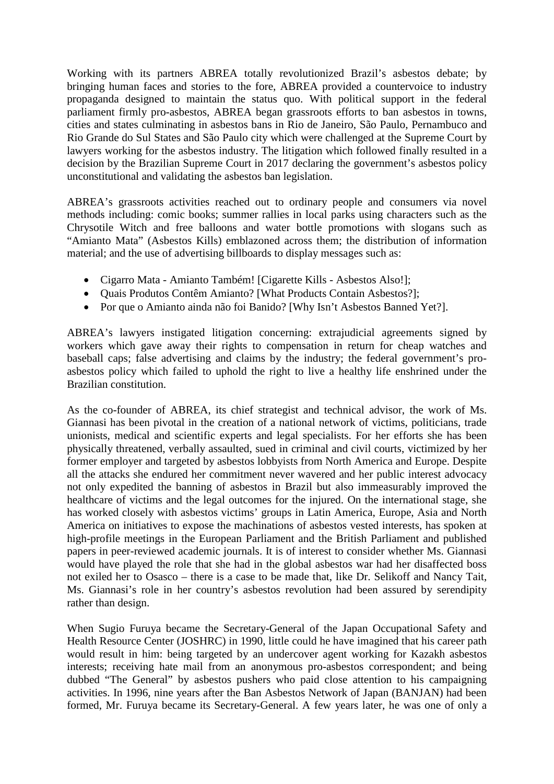Working with its partners ABREA totally revolutionized Brazil's asbestos debate; by bringing human faces and stories to the fore, ABREA provided a countervoice to industry propaganda designed to maintain the status quo. With political support in the federal parliament firmly pro-asbestos, ABREA began grassroots efforts to ban asbestos in towns, cities and states culminating in asbestos bans in Rio de Janeiro, São Paulo, Pernambuco and Rio Grande do Sul States and São Paulo city which were challenged at the Supreme Court by lawyers working for the asbestos industry. The litigation which followed finally resulted in a decision by the Brazilian Supreme Court in 2017 declaring the government's asbestos policy unconstitutional and validating the asbestos ban legislation.

ABREA's grassroots activities reached out to ordinary people and consumers via novel methods including: comic books; summer rallies in local parks using characters such as the Chrysotile Witch and free balloons and water bottle promotions with slogans such as "Amianto Mata" (Asbestos Kills) emblazoned across them; the distribution of information material; and the use of advertising billboards to display messages such as:

- Cigarro Mata Amianto Também! [Cigarette Kills Asbestos Also!];
- Quais Produtos Contêm Amianto? [What Products Contain Asbestos?];
- Por que o Amianto ainda não foi Banido? [Why Isn't Asbestos Banned Yet?].

ABREA's lawyers instigated litigation concerning: extrajudicial agreements signed by workers which gave away their rights to compensation in return for cheap watches and baseball caps; false advertising and claims by the industry; the federal government's proasbestos policy which failed to uphold the right to live a healthy life enshrined under the Brazilian constitution.

As the co-founder of ABREA, its chief strategist and technical advisor, the work of Ms. Giannasi has been pivotal in the creation of a national network of victims, politicians, trade unionists, medical and scientific experts and legal specialists. For her efforts she has been physically threatened, verbally assaulted, sued in criminal and civil courts, victimized by her former employer and targeted by asbestos lobbyists from North America and Europe. Despite all the attacks she endured her commitment never wavered and her public interest advocacy not only expedited the banning of asbestos in Brazil but also immeasurably improved the healthcare of victims and the legal outcomes for the injured. On the international stage, she has worked closely with asbestos victims' groups in Latin America, Europe, Asia and North America on initiatives to expose the machinations of asbestos vested interests, has spoken at high-profile meetings in the European Parliament and the British Parliament and published papers in peer-reviewed academic journals. It is of interest to consider whether Ms. Giannasi would have played the role that she had in the global asbestos war had her disaffected boss not exiled her to Osasco – there is a case to be made that, like Dr. Selikoff and Nancy Tait, Ms. Giannasi's role in her country's asbestos revolution had been assured by serendipity rather than design.

When Sugio Furuya became the Secretary-General of the Japan Occupational Safety and Health Resource Center (JOSHRC) in 1990, little could he have imagined that his career path would result in him: being targeted by an undercover agent working for Kazakh asbestos interests; receiving hate mail from an anonymous pro-asbestos correspondent; and being dubbed "The General" by asbestos pushers who paid close attention to his campaigning activities. In 1996, nine years after the Ban Asbestos Network of Japan (BANJAN) had been formed, Mr. Furuya became its Secretary-General. A few years later, he was one of only a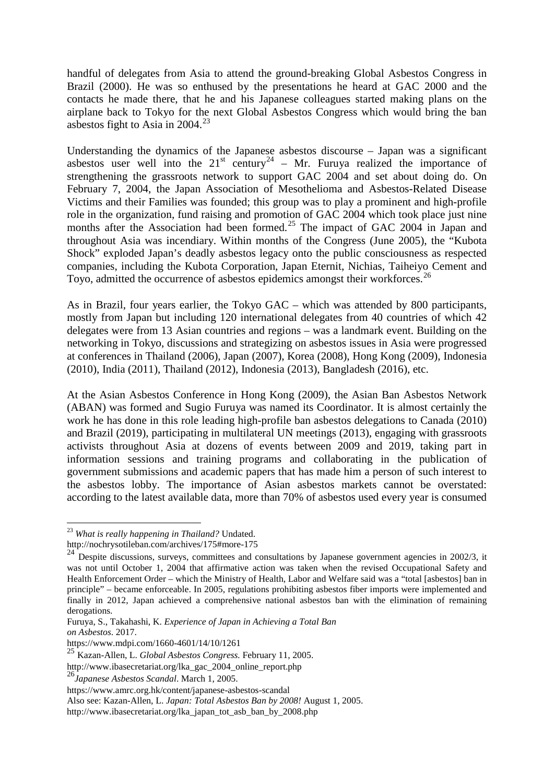handful of delegates from Asia to attend the ground-breaking Global Asbestos Congress in Brazil (2000). He was so enthused by the presentations he heard at GAC 2000 and the contacts he made there, that he and his Japanese colleagues started making plans on the airplane back to Tokyo for the next Global Asbestos Congress which would bring the ban asbestos fight to Asia in  $2004.<sup>23</sup>$  $2004.<sup>23</sup>$  $2004.<sup>23</sup>$ 

Understanding the dynamics of the Japanese asbestos discourse – Japan was a significant asbestos user well into the  $21^{st}$  century<sup>[24](#page-7-1)</sup> – Mr. Furuya realized the importance of strengthening the grassroots network to support GAC 2004 and set about doing do. On February 7, 2004, the Japan Association of Mesothelioma and Asbestos-Related Disease Victims and their Families was founded; this group was to play a prominent and high-profile role in the organization, fund raising and promotion of GAC 2004 which took place just nine months after the Association had been formed.<sup>[25](#page-7-2)</sup> The impact of GAC 2004 in Japan and throughout Asia was incendiary. Within months of the Congress (June 2005), the "Kubota Shock" exploded Japan's deadly asbestos legacy onto the public consciousness as respected companies, including the Kubota Corporation, Japan Eternit, Nichias, Taiheiyo Cement and Toyo, admitted the occurrence of asbestos epidemics amongst their workforces.<sup>[26](#page-7-3)</sup>

As in Brazil, four years earlier, the Tokyo GAC – which was attended by 800 participants, mostly from Japan but including 120 international delegates from 40 countries of which 42 delegates were from 13 Asian countries and regions – was a landmark event. Building on the networking in Tokyo, discussions and strategizing on asbestos issues in Asia were progressed at conferences in Thailand (2006), Japan (2007), Korea (2008), Hong Kong (2009), Indonesia (2010), India (2011), Thailand (2012), Indonesia (2013), Bangladesh (2016), etc.

At the Asian Asbestos Conference in Hong Kong (2009), the Asian Ban Asbestos Network (ABAN) was formed and Sugio Furuya was named its Coordinator. It is almost certainly the work he has done in this role leading high-profile ban asbestos delegations to Canada (2010) and Brazil (2019), participating in multilateral UN meetings (2013), engaging with grassroots activists throughout Asia at dozens of events between 2009 and 2019, taking part in information sessions and training programs and collaborating in the publication of government submissions and academic papers that has made him a person of such interest to the asbestos lobby. The importance of Asian asbestos markets cannot be overstated: according to the latest available data, more than 70% of asbestos used every year is consumed

<span id="page-7-0"></span> <sup>23</sup> *What is really happening in Thailand?* Undated.

<http://nochrysotileban.com/archives/175#more-175>

<span id="page-7-1"></span><sup>&</sup>lt;sup>24</sup> Despite discussions, surveys, committees and consultations by Japanese government agencies in 2002/3, it was not until October 1, 2004 that affirmative action was taken when the revised Occupational Safety and Health Enforcement Order – which the Ministry of Health, Labor and Welfare said was a "total [asbestos] ban in principle" – became enforceable. In 2005, regulations prohibiting asbestos fiber imports were implemented and finally in 2012, Japan achieved a comprehensive national asbestos ban with the elimination of remaining derogations.

Furuya, S., Takahashi, K. *Experience of Japan in Achieving a Total Ban on Asbestos*. 2017.

<https://www.mdpi.com/1660-4601/14/10/1261>

<span id="page-7-2"></span><sup>25</sup> Kazan-Allen, L. *Global Asbestos Congress.* February 11, 2005.

[http://www.ibasecretariat.org/lka\\_gac\\_2004\\_online\\_report.php](http://www.ibasecretariat.org/lka_gac_2004_online_report.php)

<span id="page-7-3"></span><sup>26</sup>*Japanese Asbestos Scandal*. March 1, 2005.

<https://www.amrc.org.hk/content/japanese-asbestos-scandal>

Also see: Kazan-Allen, L. *Japan: Total Asbestos Ban by 2008!* August 1, 2005.

[http://www.ibasecretariat.org/lka\\_japan\\_tot\\_asb\\_ban\\_by\\_2008.php](http://www.ibasecretariat.org/lka_japan_tot_asb_ban_by_2008.php)